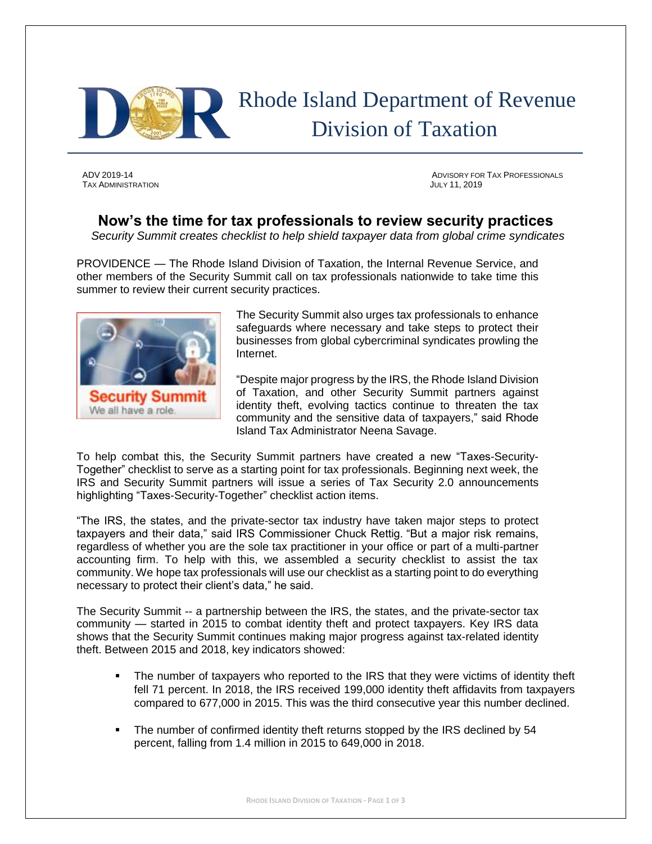

# Rhode Island Department of Revenue Division of Taxation

TAX ADMINISTRATION JULY 11, 2019

ADV 2019-14 ADVISORY FOR TAX PROFESSIONALS

## **Now's the time for tax professionals to review security practices**

*Security Summit creates checklist to help shield taxpayer data from global crime syndicates*

PROVIDENCE — The Rhode Island Division of Taxation, the Internal Revenue Service, and other members of the Security Summit call on tax professionals nationwide to take time this summer to review their current security practices.



The Security Summit also urges tax professionals to enhance safeguards where necessary and take steps to protect their businesses from global cybercriminal syndicates prowling the Internet.

"Despite major progress by the IRS, the Rhode Island Division of Taxation, and other Security Summit partners against identity theft, evolving tactics continue to threaten the tax community and the sensitive data of taxpayers," said Rhode Island Tax Administrator Neena Savage.

To help combat this, the Security Summit partners have created a new "Taxes-Security-Together" checklist to serve as a starting point for tax professionals. Beginning next week, the IRS and Security Summit partners will issue a series of Tax Security 2.0 announcements highlighting "Taxes-Security-Together" checklist action items.

"The IRS, the states, and the private-sector tax industry have taken major steps to protect taxpayers and their data," said IRS Commissioner Chuck Rettig. "But a major risk remains, regardless of whether you are the sole tax practitioner in your office or part of a multi-partner accounting firm. To help with this, we assembled a security checklist to assist the tax community. We hope tax professionals will use our checklist as a starting point to do everything necessary to protect their client's data," he said.

The Security Summit -- a partnership between the IRS, the states, and the private-sector tax community — started in 2015 to combat identity theft and protect taxpayers. Key IRS data shows that the Security Summit continues making major progress against tax-related identity theft. Between 2015 and 2018, key indicators showed:

- **•** The number of taxpayers who reported to the IRS that they were victims of identity theft fell 71 percent. In 2018, the IRS received 199,000 identity theft affidavits from taxpayers compared to 677,000 in 2015. This was the third consecutive year this number declined.
- The number of confirmed identity theft returns stopped by the IRS declined by 54 percent, falling from 1.4 million in 2015 to 649,000 in 2018.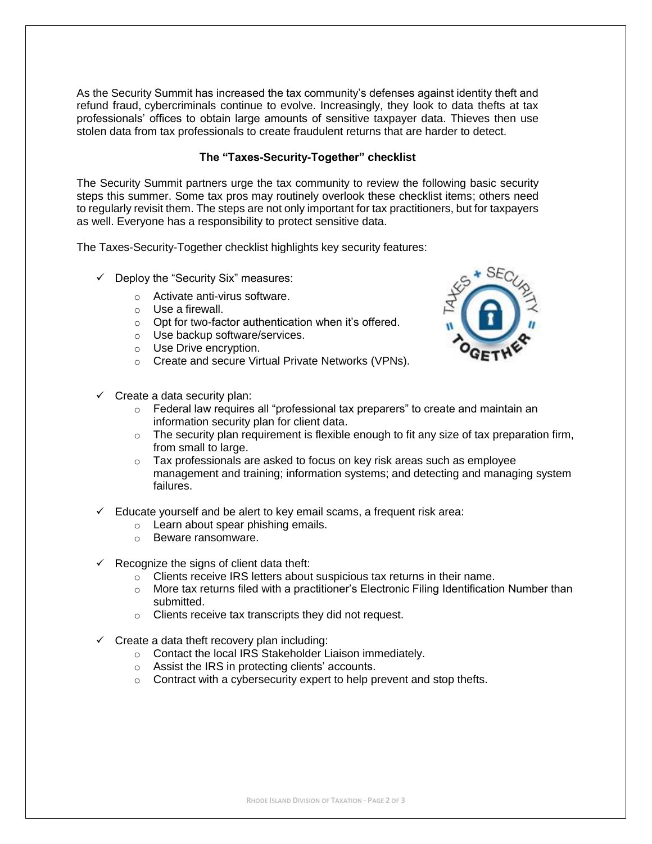As the Security Summit has increased the tax community's defenses against identity theft and refund fraud, cybercriminals continue to evolve. Increasingly, they look to data thefts at tax professionals' offices to obtain large amounts of sensitive taxpayer data. Thieves then use stolen data from tax professionals to create fraudulent returns that are harder to detect.

### **The "Taxes-Security-Together" checklist**

The Security Summit partners urge the tax community to review the following basic security steps this summer. Some tax pros may routinely overlook these checklist items; others need to regularly revisit them. The steps are not only important for tax practitioners, but for taxpayers as well. Everyone has a responsibility to protect sensitive data.

The Taxes-Security-Together checklist highlights key security features:

- $\checkmark$  Deploy the "Security Six" measures:
	- o Activate anti-virus software.
	- o Use a firewall.
	- o Opt for two-factor authentication when it's offered.
	- o Use backup software/services.
	- o Use Drive encryption.
	- o Create and secure Virtual Private Networks (VPNs).
- $\checkmark$  Create a data security plan:



- $\circ$  Federal law requires all "professional tax preparers" to create and maintain an information security plan for client data.
- $\circ$  The security plan requirement is flexible enough to fit any size of tax preparation firm, from small to large.
- o Tax professionals are asked to focus on key risk areas such as employee management and training; information systems; and detecting and managing system failures.
- $\checkmark$  Educate yourself and be alert to key email scams, a frequent risk area:
	- o Learn about spear phishing emails.
	- o Beware ransomware.
- $\checkmark$  Recognize the signs of client data theft:
	- o Clients receive IRS letters about suspicious tax returns in their name.
	- $\circ$  More tax returns filed with a practitioner's Electronic Filing Identification Number than submitted.
	- o Clients receive tax transcripts they did not request.
- $\checkmark$  Create a data theft recovery plan including:
	- o Contact the local IRS Stakeholder Liaison immediately.
	- o Assist the IRS in protecting clients' accounts.
	- $\circ$  Contract with a cybersecurity expert to help prevent and stop thefts.